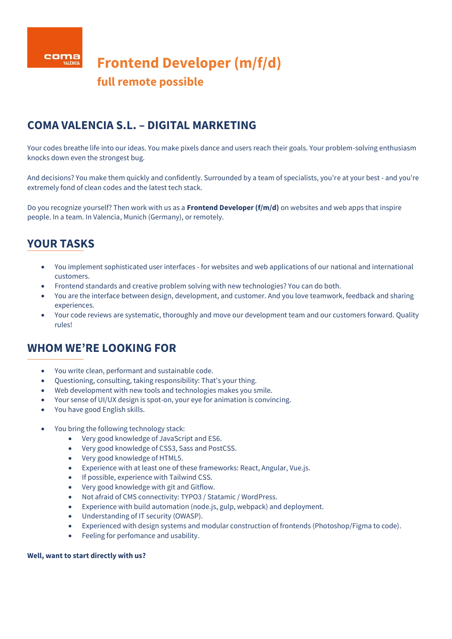

# **COMA VALENCIA S.L. – DIGITAL MARKETING**

Your codes breathe life into our ideas. You make pixels dance and users reach their goals. Your problem-solving enthusiasm knocks down even the strongest bug.

And decisions? You make them quickly and confidently. Surrounded by a team of specialists, you're at your best - and you're extremely fond of clean codes and the latest tech stack.

Do you recognize yourself? Then work with us as a **Frontend Developer (f/m/d)** on websites and web apps that inspire people. In a team. In Valencia, Munich (Germany), or remotely.

# **YOUR TASKS**

- You implement sophisticated user interfaces for websites and web applications of our national and international customers.
- Frontend standards and creative problem solving with new technologies? You can do both.
- You are the interface between design, development, and customer. And you love teamwork, feedback and sharing experiences.
- Your code reviews are systematic, thoroughly and move our development team and our customers forward. Quality rules!

### **WHOM WE'RE LOOKING FOR**

- You write clean, performant and sustainable code.
- Questioning, consulting, taking responsibility: That's your thing.
- Web development with new tools and technologies makes you smile.
- Your sense of UI/UX design is spot-on, your eye for animation is convincing.
- You have good English skills.
- You bring the following technology stack:
	- Very good knowledge of JavaScript and ES6.
	- Very good knowledge of CSS3, Sass and PostCSS.
	- Very good knowledge of HTML5.
	- Experience with at least one of these frameworks: React, Angular, Vue.js.
	- If possible, experience with Tailwind CSS.
	- Very good knowledge with git and Gitflow.
	- Not afraid of CMS connectivity: TYPO3 / Statamic / WordPress.
	- Experience with build automation (node.js, gulp, webpack) and deployment.
	- Understanding of IT security (OWASP).
	- Experienced with design systems and modular construction of frontends (Photoshop/Figma to code).
	- Feeling for perfomance and usability.

#### **Well, want to start directly with us?**